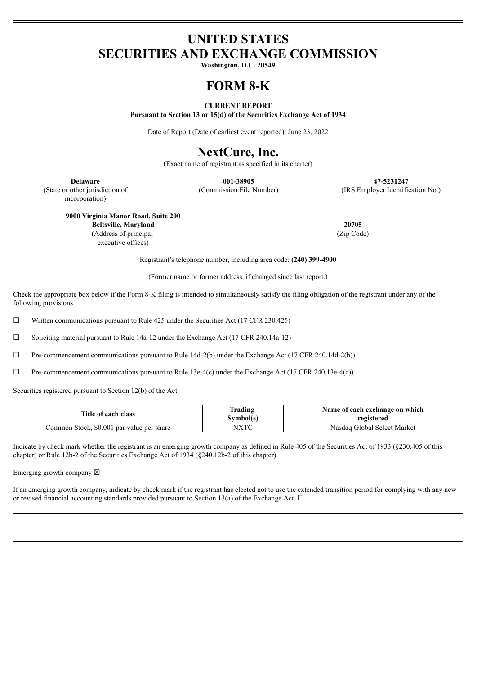## **UNITED STATES SECURITIES AND EXCHANGE COMMISSION**

**Washington, D.C. 20549**

## **FORM 8-K**

#### **CURRENT REPORT**

**Pursuant to Section 13 or 15(d) of the Securities Exchange Act of 1934**

Date of Report (Date of earliest event reported): June 23, 2022

# **NextCure, Inc.**

(Exact name of registrant as specified in its charter)

**Delaware 001-38905 47-5231247** (Commission File Number) (IRS Employer Identification No.)

(State or other jurisdiction of incorporation)

**9000 Virginia Manor Road, Suite 200**

**Beltsville, Maryland 20705** (Address of principal executive offices)

(Zip Code)

Registrant's telephone number, including area code: **(240) 399-4900**

(Former name or former address, if changed since last report.)

Check the appropriate box below if the Form 8-K filing is intended to simultaneously satisfy the filing obligation of the registrant under any of the following provisions:

 $\Box$  Written communications pursuant to Rule 425 under the Securities Act (17 CFR 230.425)

☐ Soliciting material pursuant to Rule 14a-12 under the Exchange Act (17 CFR 240.14a-12)

☐ Pre-commencement communications pursuant to Rule 14d-2(b) under the Exchange Act (17 CFR 240.14d-2(b))

☐ Pre-commencement communications pursuant to Rule 13e-4(c) under the Exchange Act (17 CFR 240.13e-4(c))

Securities registered pursuant to Section 12(b) of the Act:

| Title of each class                       | Trading<br>Svmbol(s) | Name of each exchange on which<br>registered |
|-------------------------------------------|----------------------|----------------------------------------------|
| Common Stock, \$0.001 par value per share | NXTC                 | Nasdag Global Select Market                  |

Indicate by check mark whether the registrant is an emerging growth company as defined in Rule 405 of the Securities Act of 1933 (§230.405 of this chapter) or Rule 12b-2 of the Securities Exchange Act of 1934 (§240.12b-2 of this chapter).

Emerging growth company  $\boxtimes$ 

If an emerging growth company, indicate by check mark if the registrant has elected not to use the extended transition period for complying with any new or revised financial accounting standards provided pursuant to Section 13(a) of the Exchange Act.  $\Box$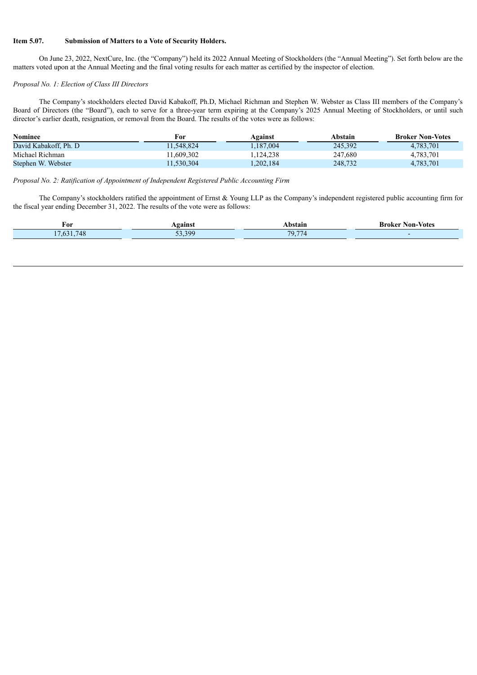#### **Item 5.07. Submission of Matters to a Vote of Security Holders.**

On June 23, 2022, NextCure, Inc. (the "Company") held its 2022 Annual Meeting of Stockholders (the "Annual Meeting"). Set forth below are the matters voted upon at the Annual Meeting and the final voting results for each matter as certified by the inspector of election.

### *Proposal No. 1: Election of Class III Directors*

The Company's stockholders elected David Kabakoff, Ph.D, Michael Richman and Stephen W. Webster as Class III members of the Company's Board of Directors (the "Board"), each to serve for a three-year term expiring at the Company's 2025 Annual Meeting of Stockholders, or until such director's earlier death, resignation, or removal from the Board. The results of the votes were as follows:

| <b>Nominee</b>        | For        | Against   | Abstain | <b>Broker Non-Votes</b> |
|-----------------------|------------|-----------|---------|-------------------------|
| David Kabakoff. Ph. D | 11.548.824 | 1.187.004 | 245.392 | 4,783,701               |
| Michael Richman       | 11.609.302 | 1,124,238 | 247.680 | 4,783,701               |
| Stephen W. Webster    | 11,530,304 | ,202,184  | 248.732 | 4,783,701               |

#### *Proposal No. 2: Ratification of Appointment of Independent Registered Public Accounting Firm*

The Company's stockholders ratified the appointment of Ernst & Young LLP as the Company's independent registered public accounting firm for the fiscal year ending December 31, 2022. The results of the vote were as follows:

| For                                   | <b>gainst</b>    | Abstair                      | • Votes<br>Non-<br>''roker ∶ |
|---------------------------------------|------------------|------------------------------|------------------------------|
| $\overline{ }$ $\overline{ }$<br>77 S | $\sim$ 200<br>-- | $- -$<br>$70^{\circ}$<br>, J |                              |